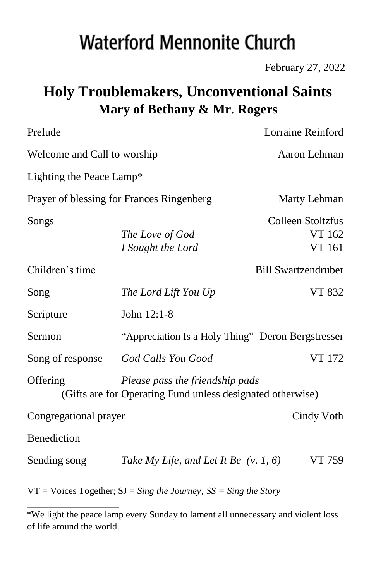# **Waterford Mennonite Church**

February 27, 2022

# **Holy Troublemakers, Unconventional Saints Mary of Bethany & Mr. Rogers**

| Prelude                                   |                                                                                               | Lorraine Reinford                     |
|-------------------------------------------|-----------------------------------------------------------------------------------------------|---------------------------------------|
| Welcome and Call to worship               |                                                                                               | Aaron Lehman                          |
| Lighting the Peace Lamp*                  |                                                                                               |                                       |
| Prayer of blessing for Frances Ringenberg |                                                                                               | Marty Lehman                          |
| Songs                                     | The Love of God<br>I Sought the Lord                                                          | Colleen Stoltzfus<br>VT 162<br>VT 161 |
| Children's time                           |                                                                                               | <b>Bill Swartzendruber</b>            |
| Song                                      | The Lord Lift You Up                                                                          | VT 832                                |
| Scripture                                 | John 12:1-8                                                                                   |                                       |
| Sermon                                    | "Appreciation Is a Holy Thing" Deron Bergstresser                                             |                                       |
| Song of response                          | God Calls You Good                                                                            | VT 172                                |
| Offering                                  | Please pass the friendship pads<br>(Gifts are for Operating Fund unless designated otherwise) |                                       |
| Congregational prayer                     |                                                                                               | Cindy Voth                            |
| Benediction                               |                                                                                               |                                       |
| Sending song                              | Take My Life, and Let It Be $(v. 1, 6)$                                                       | VT 759                                |
|                                           | $VT = \text{Voices Together}$ ; $SJ = Sing$ the Journey; $SS = Sing$ the Story                |                                       |

<sup>\*</sup>We light the peace lamp every Sunday to lament all unnecessary and violent loss of life around the world.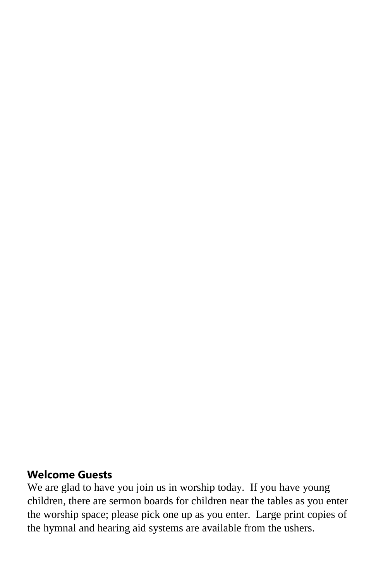#### **Welcome Guests**

We are glad to have you join us in worship today. If you have young children, there are sermon boards for children near the tables as you enter the worship space; please pick one up as you enter. Large print copies of the hymnal and hearing aid systems are available from the ushers.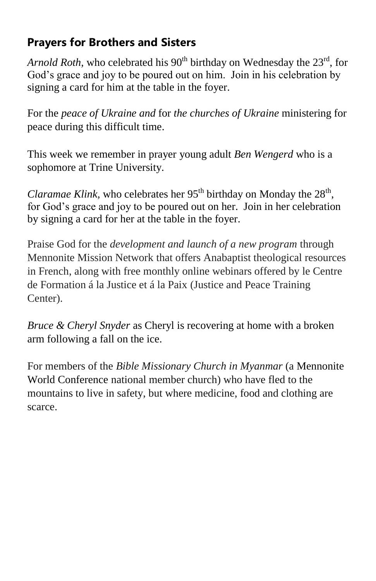## **Prayers for Brothers and Sisters**

*Arnold Roth*, who celebrated his 90<sup>th</sup> birthday on Wednesday the 23<sup>rd</sup>, for God's grace and joy to be poured out on him. Join in his celebration by signing a card for him at the table in the foyer.

For the *peace of Ukraine and* for *the churches of Ukraine* ministering for peace during this difficult time.

This week we remember in prayer young adult *Ben Wengerd* who is a sophomore at Trine University.

Claramae Klink, who celebrates her 95<sup>th</sup> birthday on Monday the 28<sup>th</sup>, for God's grace and joy to be poured out on her. Join in her celebration by signing a card for her at the table in the foyer.

Praise God for the *development and launch of a new program* through Mennonite Mission Network that offers Anabaptist theological resources in French, along with free monthly online webinars offered by le Centre de Formation á la Justice et á la Paix (Justice and Peace Training Center).

*Bruce & Cheryl Snyder* as Cheryl is recovering at home with a broken arm following a fall on the ice.

For members of the *Bible Missionary Church in Myanmar* (a Mennonite World Conference national member church) who have fled to the mountains to live in safety, but where medicine, food and clothing are scarce.